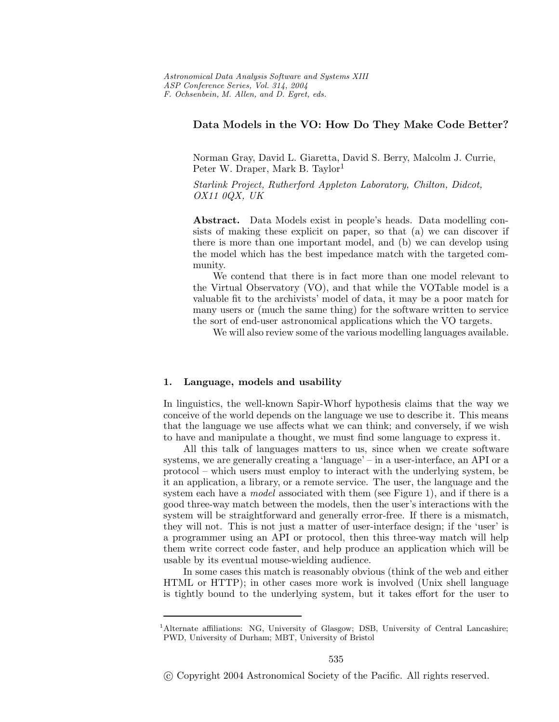# **Data Models in the VO: How Do They Make Code Better?**

Norman Gray, David L. Giaretta, David S. Berry, Malcolm J. Currie, Peter W. Draper, Mark B. Taylor<sup>1</sup>

*Starlink Project, Rutherford Appleton Laboratory, Chilton, Didcot, OX11 0QX, UK*

**Abstract.** Data Models exist in people's heads. Data modelling consists of making these explicit on paper, so that (a) we can discover if there is more than one important model, and (b) we can develop using the model which has the best impedance match with the targeted community.

We contend that there is in fact more than one model relevant to the Virtual Observatory (VO), and that while the VOTable model is a valuable fit to the archivists' model of data, it may be a poor match for many users or (much the same thing) for the software written to service the sort of end-user astronomical applications which the VO targets.

We will also review some of the various modelling languages available.

## **1. Language, models and usability**

In linguistics, the well-known Sapir-Whorf hypothesis claims that the way we conceive of the world depends on the language we use to describe it. This means that the language we use affects what we can think; and conversely, if we wish to have and manipulate a thought, we must find some language to express it.

All this talk of languages matters to us, since when we create software systems, we are generally creating a 'language' – in a user-interface, an API or a protocol – which users must employ to interact with the underlying system, be it an application, a library, or a remote service. The user, the language and the system each have a *model* associated with them (see Figure 1), and if there is a good three-way match between the models, then the user's interactions with the system will be straightforward and generally error-free. If there is a mismatch, they will not. This is not just a matter of user-interface design; if the 'user' is a programmer using an API or protocol, then this three-way match will help them write correct code faster, and help produce an application which will be usable by its eventual mouse-wielding audience.

In some cases this match is reasonably obvious (think of the web and either HTML or HTTP); in other cases more work is involved (Unixshell language is tightly bound to the underlying system, but it takes effort for the user to

<sup>&</sup>lt;sup>1</sup>Alternate affiliations: NG, University of Glasgow; DSB, University of Central Lancashire; PWD. University of Durham: MBT. University of Bristol PWD, University of Durham; MBT, University of Bristol

c Copyright 2004 Astronomical Society of the Pacific. All rights reserved.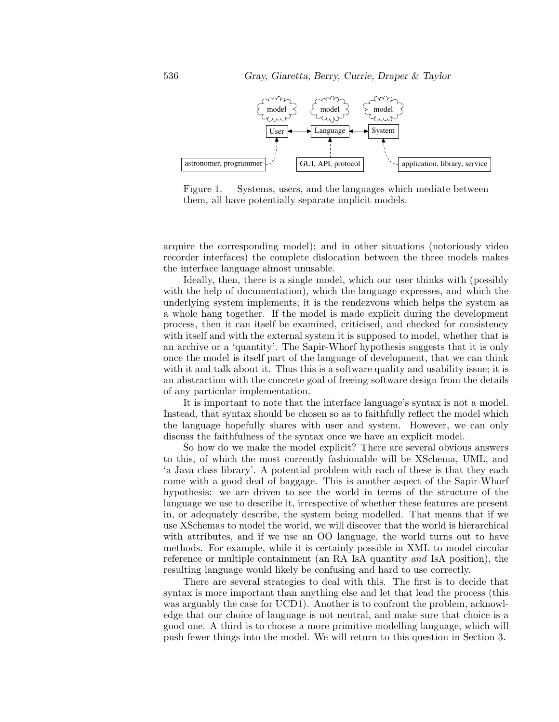

Figure 1. Systems, users, and the languages which mediate between them, all have potentially separate implicit models.

acquire the corresponding model); and in other situations (notoriously video recorder interfaces) the complete dislocation between the three models makes the interface language almost unusable.

Ideally, then, there is a single model, which our user thinks with (possibly with the help of documentation), which the language expresses, and which the underlying system implements; it is the rendezvous which helps the system as a whole hang together. If the model is made explicit during the development process, then it can itself be examined, criticised, and checked for consistency with itself and with the external system it is supposed to model, whether that is an archive or a 'quantity'. The Sapir-Whorf hypothesis suggests that it is only once the model is itself part of the language of development, that we can think with it and talk about it. Thus this is a software quality and usability issue; it is an abstraction with the concrete goal of freeing software design from the details of any particular implementation.

It is important to note that the interface language's syntax is not a model. Instead, that syntax should be chosen so as to faithfully reflect the model which the language hopefully shares with user and system. However, we can only discuss the faithfulness of the syntax once we have an explicit model.

So how do we make the model explicit? There are several obvious answers to this, of which the most currently fashionable will be XSchema, UML, and 'a Java class library'. A potential problem with each of these is that they each come with a good deal of baggage. This is another aspect of the Sapir-Whorf hypothesis: we are driven to see the world in terms of the structure of the language we use to describe it, irrespective of whether these features are present in, or adequately describe, the system being modelled. That means that if we use XSchemas to model the world, we will discover that the world is hierarchical with attributes, and if we use an OO language, the world turns out to have methods. For example, while it is certainly possible in XML to model circular reference or multiple containment (an RA IsA quantity *and* IsA position), the resulting language would likely be confusing and hard to use correctly.

There are several strategies to deal with this. The first is to decide that syntax is more important than anything else and let that lead the process (this was arguably the case for UCD1). Another is to confront the problem, acknowledge that our choice of language is not neutral, and make sure that choice is a good one. A third is to choose a more primitive modelling language, which will push fewer things into the model. We will return to this question in Section 3.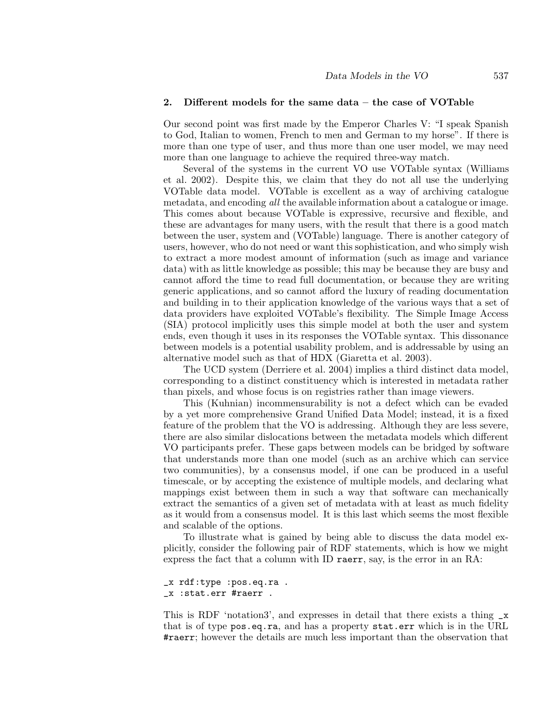#### **2. Different models for the same data – the case of VOTable**

Our second point was first made by the Emperor Charles V: "I speak Spanish to God, Italian to women, French to men and German to my horse". If there is more than one type of user, and thus more than one user model, we may need more than one language to achieve the required three-way match.

Several of the systems in the current VO use VOTable syntax(Williams et al. 2002). Despite this, we claim that they do not all use the underlying VOTable data model. VOTable is excellent as a way of archiving catalogue metadata, and encoding *all* the available information about a catalogue or image. This comes about because VOTable is expressive, recursive and flexible, and these are advantages for many users, with the result that there is a good match between the user, system and (VOTable) language. There is another category of users, however, who do not need or want this sophistication, and who simply wish to extract a more modest amount of information (such as image and variance data) with as little knowledge as possible; this may be because they are busy and cannot afford the time to read full documentation, or because they are writing generic applications, and so cannot afford the luxury of reading documentation and building in to their application knowledge of the various ways that a set of data providers have exploited VOTable's flexibility. The Simple Image Access (SIA) protocol implicitly uses this simple model at both the user and system ends, even though it uses in its responses the VOTable syntax. This dissonance between models is a potential usability problem, and is addressable by using an alternative model such as that of HDX (Giaretta et al. 2003).

The UCD system (Derriere et al. 2004) implies a third distinct data model, corresponding to a distinct constituency which is interested in metadata rather than pixels, and whose focus is on registries rather than image viewers.

This (Kuhnian) incommensurability is not a defect which can be evaded by a yet more comprehensive Grand Unified Data Model; instead, it is a fixed feature of the problem that the VO is addressing. Although they are less severe, there are also similar dislocations between the metadata models which different VO participants prefer. These gaps between models can be bridged by software that understands more than one model (such as an archive which can service two communities), by a consensus model, if one can be produced in a useful timescale, or by accepting the existence of multiple models, and declaring what mappings exist between them in such a way that software can mechanically extract the semantics of a given set of metadata with at least as much fidelity as it would from a consensus model. It is this last which seems the most flexible and scalable of the options.

To illustrate what is gained by being able to discuss the data model explicitly, consider the following pair of RDF statements, which is how we might express the fact that a column with ID raerr, say, is the error in an RA:

#### \_x rdf:type :pos.eq.ra . \_x :stat.err #raerr .

This is RDF 'notation3', and expresses in detail that there exists a thing \_x that is of type pos.eq.ra, and has a property stat.err which is in the URL #raerr; however the details are much less important than the observation that